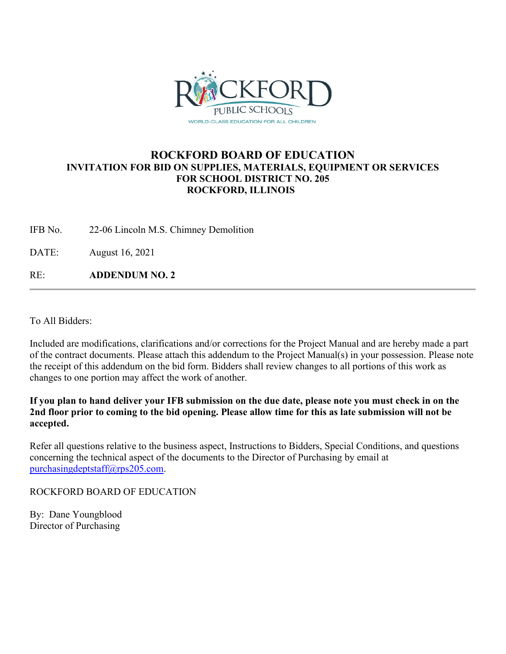

## **ROCKFORD BOARD OF EDUCATION INVITATION FOR BID ON SUPPLIES, MATERIALS, EQUIPMENT OR SERVICES FOR SCHOOL DISTRICT NO. 205 ROCKFORD, ILLINOIS**

IFB No. 22-06 Lincoln M.S. Chimney Demolition

DATE: August 16, 2021

RE: **ADDENDUM NO. 2**

To All Bidders:

Included are modifications, clarifications and/or corrections for the Project Manual and are hereby made a part of the contract documents. Please attach this addendum to the Project Manual(s) in your possession. Please note the receipt of this addendum on the bid form. Bidders shall review changes to all portions of this work as changes to one portion may affect the work of another.

**If you plan to hand deliver your IFB submission on the due date, please note you must check in on the 2nd floor prior to coming to the bid opening. Please allow time for this as late submission will not be accepted.**

Refer all questions relative to the business aspect, Instructions to Bidders, Special Conditions, and questions concerning the technical aspect of the documents to the Director of Purchasing by email at [purchasingdeptstaff@rps205.com.](mailto:purchasingdeptstaff@rps205.com)

ROCKFORD BOARD OF EDUCATION

By: Dane Youngblood Director of Purchasing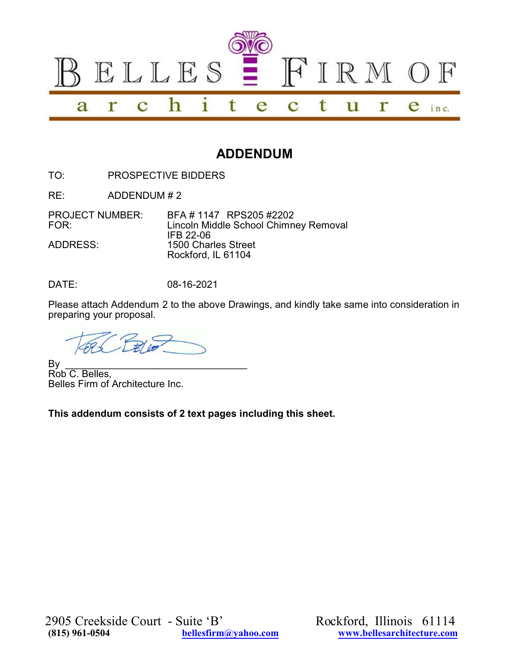

## **ADDENDUM**

TO: PROSPECTIVE BIDDERS

RE: ADDENDUM # 2

PROJECT NUMBER: BFA # 1147 RPS205 #2202<br>FOR: Lincoln Middle School Chimn Lincoln Middle School Chimney Removal IFB 22-06 ADDRESS: 1500 Charles Street Rockford, IL 61104

DATE: 08-16-2021

Please attach Addendum 2 to the above Drawings, and kindly take same into consideration in preparing your proposal.

By \_\_\_\_\_\_\_\_\_\_\_\_\_\_\_\_\_\_\_\_\_\_\_\_\_\_\_\_\_\_\_\_\_ Rob C. Belles, Belles Firm of Architecture Inc.

**This addendum consists of 2 text pages including this sheet.**